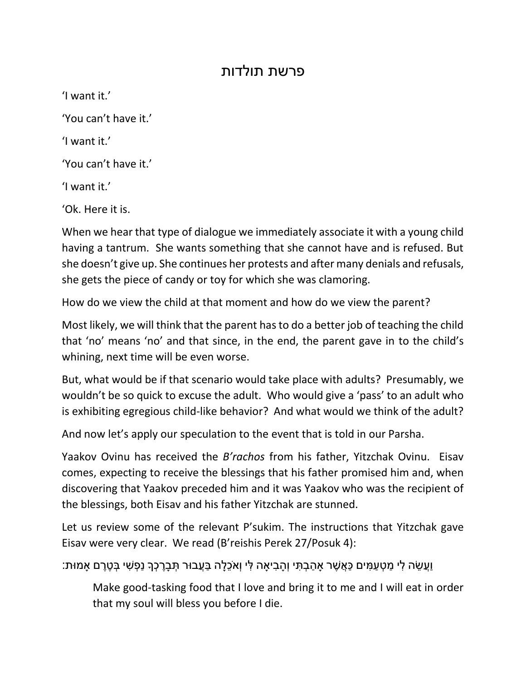## פרשת תולדות

'I want it.'

'You can't have it.'

'I want it.'

'You can't have it.'

'I want it.'

'Ok. Here it is.

When we hear that type of dialogue we immediately associate it with a young child having a tantrum. She wants something that she cannot have and is refused. But she doesn't give up. She continues her protests and after many denials and refusals, she gets the piece of candy or toy for which she was clamoring.

How do we view the child at that moment and how do we view the parent?

Most likely, we will think that the parent has to do a better job of teaching the child that 'no' means 'no' and that since, in the end, the parent gave in to the child's whining, next time will be even worse.

But, what would be if that scenario would take place with adults? Presumably, we wouldn't be so quick to excuse the adult. Who would give a 'pass' to an adult who is exhibiting egregious child-like behavior? And what would we think of the adult?

And now let's apply our speculation to the event that is told in our Parsha.

Yaakov Ovinu has received the *B'rachos* from his father, Yitzchak Ovinu. Eisav comes, expecting to receive the blessings that his father promised him and, when discovering that Yaakov preceded him and it was Yaakov who was the recipient of the blessings, both Eisav and his father Yitzchak are stunned.

Let us review some of the relevant P'sukim. The instructions that Yitzchak gave Eisav were very clear. We read (B'reishis Perek 27/Posuk 4):

וֲַע ֵׂשה ִלי ַמ ְט ַע ִמים ַכ ֲא ֶׁשר ָא ַה ְב ִתי וְ ָה ִביָאה ִלי וְאֵֹׂכ ָלה ַבֲעבּור ְת ָבֶׁר ְכָך נַ ְפ ִשי ְב ֶׁטֶׁרם ָאמּות:

Make good-tasking food that I love and bring it to me and I will eat in order that my soul will bless you before I die.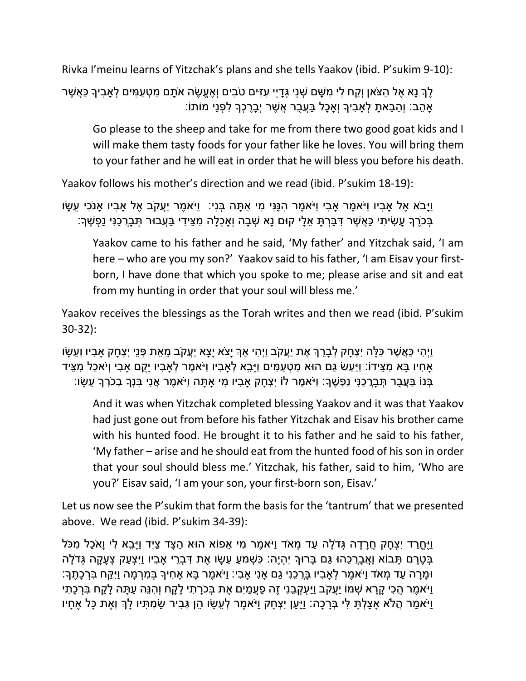Rivka I'meinu learns of Yitzchak's plans and she tells Yaakov (ibid. P'sukim 9-10):

ָלְךָ נָא אֶל הצֹאן וְקח לי משם שָׁנִי גָּדִיי עזים טֹבים וְאֶעֱשֶׂה אֹתַם מַטְעמִים לְאביךָ כַּאֲשֶׁר ָאהֵב: וְהֵבֵאתָ לְאָבִיךָ וְאָכָל בַּעֲבֻר אֲשֶׁר יְבָרֶכְךָ לְפְנֵי מוֹתוֹ

Go please to the sheep and take for me from there two good goat kids and I will make them tasty foods for your father like he loves. You will bring them to your father and he will eat in order that he will bless you before his death.

Yaakov follows his mother's direction and we read (ibid. P'sukim 18-19):

וַיַּבֹא אֶל אבִיו וַיֹּאמֶר אבִי וַיֹּאמֶר הִנֶּנִּי מִי אַתַּה בְּנִי: וַיֹּאמֶר יַעֲקֹב אֶל אבִיו אנֹכִי עֵשַׂו ָּבְֿיָרָךָ עָשִׂיתִי כַּאֲשֶׁר דְּבַּרְתָּ אֵלָי קוּם נָא שְׁבָה וְאַכְלָה מְצֵידִי בַּעֲבוּר תְּבָרֲכַנִּי נַפְשֵׁךְ:

Yaakov came to his father and he said, 'My father' and Yitzchak said, 'I am here – who are you my son?' Yaakov said to his father, 'I am Eisav your firstborn, I have done that which you spoke to me; please arise and sit and eat from my hunting in order that your soul will bless me.'

Yaakov receives the blessings as the Torah writes and then we read (ibid. P'sukim 30-32):

וַיְהִי כַּאֲשֶׁר כָּלַּה יִצְחָק לְבָרֵךְ אֶת יַעֲקֹב וַיְהִי אַךְ יַצֹא יַצֵא יַעֲקֹב מֵאֶת פָּנֵי יִצְחַק אבִיו וְעֵשַׂו ָאחִיו בַּא מִצֵּידוֹ: וַיַּעַשׂ גַּם הוּא מַטְעַמִּים וַיַּבֵא לְאבִיו וַיֹּאמֵר לְאבִיו יַקם אבִי וְיֹאכַל מִצֵּיד ָבְּנוֹ בַּעֲבֶר תְּבָרֲכָנִּי נַפְשֶׁךָ: וַיֹּאמֶר לוֹ יִצְחַק אַבְיו מִי אַתָּה וַיֹּאמֶר אֲנִי בִּנְךָ בְכֹרְךָ עֵשַׂו:

And it was when Yitzchak completed blessing Yaakov and it was that Yaakov had just gone out from before his father Yitzchak and Eisav his brother came with his hunted food. He brought it to his father and he said to his father, 'My father – arise and he should eat from the hunted food of his son in order that your soul should bless me.' Yitzchak, his father, said to him, 'Who are you?' Eisav said, 'I am your son, your first-born son, Eisav.'

Let us now see the P'sukim that form the basis for the 'tantrum' that we presented above. We read (ibid. P'sukim 34-39):

וַיֶּחֵרד יִצְחַק חֲרדה גְּדֹלָה עד מָאֹד וִיֹּאמֶר מי אפוֹא הוּא הִצד ציִד וַיִּבא לי וַאֹכֹל מכֹּל ַּבְּטֶרֶם תַּבוֹא וַאֲבַרֲכהוּ גם בַּרוּךְ יִהְיֶה: כַּשְׁמֹע עַשׂו אֶת דַּבְרי אביו ויִצְעַק צָעַקָה גָּדֹלה ּו ָמָרה ַעד ְמאֹד וַיֹא ֶׁמר ְלָא ִביו ָבֲר ֵׂכנִי ַגם ָאנִי ָא ִבי: וַיֹא ֶׁמר ָבא ָא ִחיָך ְב ִמ ְר ָמה וַיִ ַקח ִב ְר ָכ ֶׁתָך: וַיֹּאמֶר הֲכִי קָרָא שְׁמוֹ יַעֲקֹב וַיַּעְקְבֵנִי זֶה פַּעֲמַיִם אֶת בְּכֹרָתִי לָקָח וְהִנֵּה עַתָּה לָקַח בִּרְכָתִי וַיֹּאמַר הֲלֹא אַצַלְתָּ לִּי בְּרָכָה: וַיַּעַן יִצְחָק וַיֹּאמֶר לְעֵשָׂו הֵן גְּבִיר שַׂמְתִּיו לָךְ וְאֶת כָּל אֶחָיו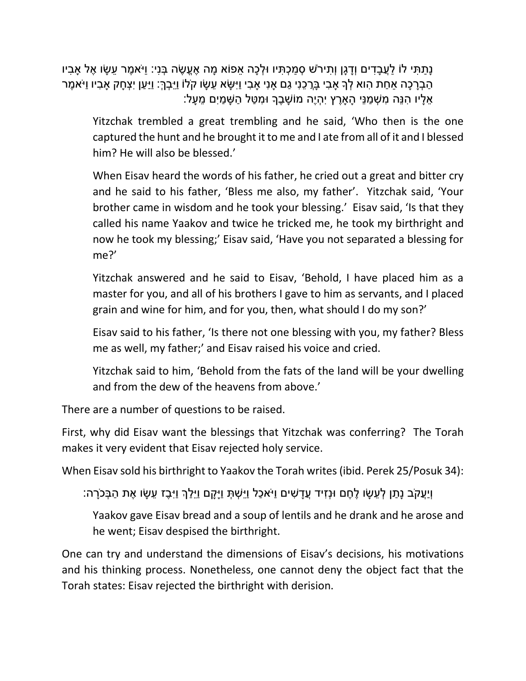ַנְתַתִּי לֹוֹ לַעֲבַדִים וְדַגֵּן וְתִירֹשׁ סְמַכְתִּיו וּלְכָה אֵפוֹא מַה אֶעֱשֶׂה בְּנִי: וַיֹּאמֵר עֵשַׂו אֶל אבִיו ָהַבְרָכָה אַחַת הָוא לְךָ אַבִי בַּרֲכֶנִי גַם אַנִי אַבִי וַיִּשָׂא עֵשַׂו קֹלוֹ וַיֵּבְרֶ׃ וַיַּעַן יִצְחַק אַבִיו וַיֹּאמֶר ָּאֵלַיו הִנֵּה מִשְׁמַנֵּי הַאַרֵץ יִהְיֵה מוֹשָׁבֵךְ וּמְטַל הַשָּׁמַיִם מֵעַל:

Yitzchak trembled a great trembling and he said, 'Who then is the one captured the hunt and he brought it to me and I ate from all of it and I blessed him? He will also be blessed.'

When Eisav heard the words of his father, he cried out a great and bitter cry and he said to his father, 'Bless me also, my father'. Yitzchak said, 'Your brother came in wisdom and he took your blessing.' Eisav said, 'Is that they called his name Yaakov and twice he tricked me, he took my birthright and now he took my blessing;' Eisav said, 'Have you not separated a blessing for me?'

Yitzchak answered and he said to Eisav, 'Behold, I have placed him as a master for you, and all of his brothers I gave to him as servants, and I placed grain and wine for him, and for you, then, what should I do my son?'

Eisav said to his father, 'Is there not one blessing with you, my father? Bless me as well, my father;' and Eisav raised his voice and cried.

Yitzchak said to him, 'Behold from the fats of the land will be your dwelling and from the dew of the heavens from above.'

There are a number of questions to be raised.

First, why did Eisav want the blessings that Yitzchak was conferring? The Torah makes it very evident that Eisav rejected holy service.

When Eisav sold his birthright to Yaakov the Torah writes (ibid. Perek 25/Posuk 34):

וְיַעֵקֹב נַתַן לְעֵשָׂו לֵחֶם וּנְזִיד עֵדַשִׁים וַיֹּאכַל וַיֵּשְׁתָּ וַיָּקַם וַיֵּלַךְ וַיָּבֵז עֵשָׂו אֶת הַבְּכֹרָה:

Yaakov gave Eisav bread and a soup of lentils and he drank and he arose and he went; Eisav despised the birthright.

One can try and understand the dimensions of Eisav's decisions, his motivations and his thinking process. Nonetheless, one cannot deny the object fact that the Torah states: Eisav rejected the birthright with derision.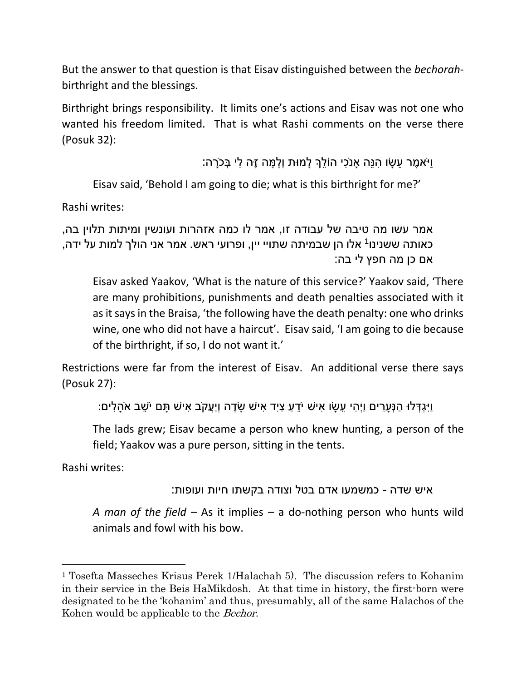But the answer to that question is that Eisav distinguished between the *bechorah*birthright and the blessings.

Birthright brings responsibility. It limits one's actions and Eisav was not one who wanted his freedom limited. That is what Rashi comments on the verse there (Posuk 32):

ו<sup>ַ</sup>יֹּאמֶר עִשׂו הנֵּה אנֹכי הוֹלךְ לְמוּת וְלִמַּה זֶה לִי בְּכֹרה:

Eisav said, 'Behold I am going to die; what is this birthright for me?'

Rashi writes:

```
אמר עשו מה טיבה של עבודה זו, אמר לו כמה אזהרות ועונשין ומיתות תלוין בה, 
כאותה ששנינו<sup>י</sup> אלו הן שבמיתה שתויי יין, ופרועי ראש. אמר אני הולך למות על ידה,
                                                          אם כן מה חפץ לי בה:
```
Eisav asked Yaakov, 'What is the nature of this service?' Yaakov said, 'There are many prohibitions, punishments and death penalties associated with it as it says in the Braisa, 'the following have the death penalty: one who drinks wine, one who did not have a haircut'. Eisav said, 'I am going to die because of the birthright, if so, I do not want it.'

Restrictions were far from the interest of Eisav. An additional verse there says (Posuk 27):

וַיִּגְדְּלוּ הַנְּעֲרִים וַיְהִי עֵשָׂו אִישׁ יֹדֶעٍ צַיִד אִישׁ שָׂדָה וְיַעֲקֹב אִישׁ תַּם יֹשֶׁב אֹהַלִּים:

The lads grew; Eisav became a person who knew hunting, a person of the field; Yaakov was a pure person, sitting in the tents.

Rashi writes:

l

```
איש שדה - כמשמעו אדם בטל וצודה בקשתו חיות ועופות:
```
*A man of the field* – As it implies – a do-nothing person who hunts wild animals and fowl with his bow.

<sup>1</sup> Tosefta Masseches Krisus Perek 1/Halachah 5). The discussion refers to Kohanim in their service in the Beis HaMikdosh. At that time in history, the first-born were designated to be the 'kohanim' and thus, presumably, all of the same Halachos of the Kohen would be applicable to the *Bechor*.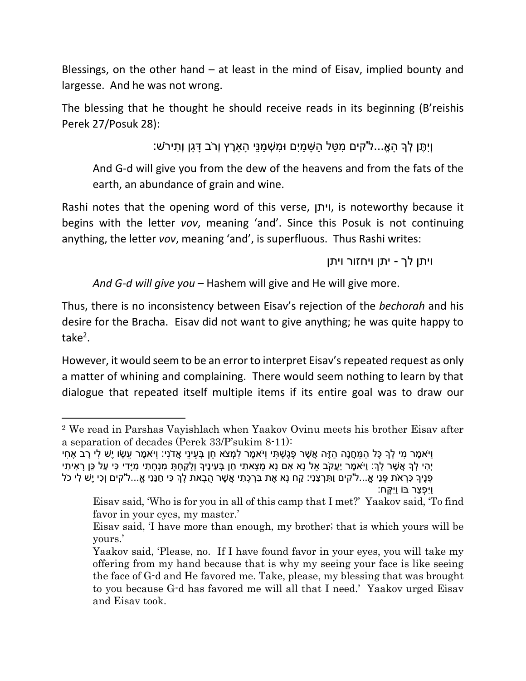Blessings, on the other hand – at least in the mind of Eisav, implied bounty and largesse. And he was not wrong.

The blessing that he thought he should receive reads in its beginning (B'reishis Perek 27/Posuk 28):

וְיִ ֶׁתן ְלָך ָהֱאֹ...ל'קים ִמ ַטל ַה ָש ַמיִם ּו ִמ ְש ַמנֵׂי ָהָאֶׁרץ וְרֹב ָד ָגן וְ ִתירֹש:

And G-d will give you from the dew of the heavens and from the fats of the earth, an abundance of grain and wine.

Rashi notes that the opening word of this verse, ויתן, is noteworthy because it begins with the letter *vov*, meaning 'and'. Since this Posuk is not continuing anything, the letter *vov*, meaning 'and', is superfluous. Thus Rashi writes:

ויתן לך - יתן ויחזור ויתן

*And G-d will give you* – Hashem will give and He will give more.

Thus, there is no inconsistency between Eisav's rejection of the *bechorah* and his desire for the Bracha. Eisav did not want to give anything; he was quite happy to take<sup>2</sup>.

However, it would seem to be an error to interpret Eisav's repeated request as only a matter of whining and complaining. There would seem nothing to learn by that dialogue that repeated itself multiple items if its entire goal was to draw our

 $\overline{\phantom{a}}$ 

<sup>2</sup> We read in Parshas Vayishlach when Yaakov Ovinu meets his brother Eisav after a separation of decades (Perek 33/P'sukim 8-11):

<sup>ַ</sup>וִּיֹאמֶר מִי לְךָ כָּל הַמַּחֲנֶה הַזֶּה אֲשֶׁר פָּגַשְׁתִּי וַיֹּאמֶר לִמְצֹא חֵן בְּעֵינֵי אֲדֹנָי: וַיֹּאמֶר עֵשַׂו יֵשׁ לִי רַב אַחִי יְהִי לְךָ אֵשֶׁר לַךְ: וַיֹּאמֶר יַעֲקֹב אל נַא אִם נַא מַצַאתִי חֶן בְּעֵינֵיךְ וְלַקַחְתַּ מִנְחַתִּי מִיַדִי כִּי עַל כֵּן רַאִיתִי ָפָּנֶיךָ כְּרְאֹת פָּנֵי אֱ...ל'קים וַתְּרְצֵנִי: קַח נָא אֶת בְּרְכָתִי אֲשֶׁר הֻבָאת לָךְ כִּי חַנַּנִי אֱ...ל'קים וְכִי יֶשׁ לִי כֹל וַיִ ְפ ַצר בֹו וַיִ ָקח:

Eisav said, 'Who is for you in all of this camp that I met?' Yaakov said, 'To find favor in your eyes, my master.'

Eisav said, 'I have more than enough, my brother; that is which yours will be yours.'

Yaakov said, 'Please, no. If I have found favor in your eyes, you will take my offering from my hand because that is why my seeing your face is like seeing the face of G-d and He favored me. Take, please, my blessing that was brought to you because G-d has favored me will all that I need.' Yaakov urged Eisav and Eisav took.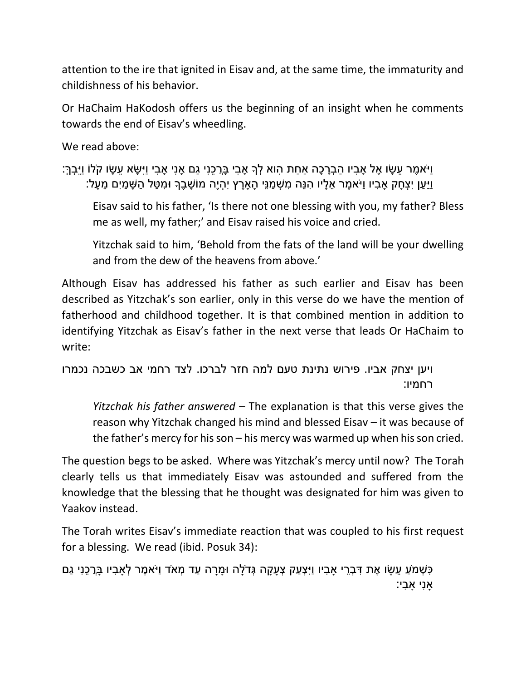attention to the ire that ignited in Eisav and, at the same time, the immaturity and childishness of his behavior.

Or HaChaim HaKodosh offers us the beginning of an insight when he comments towards the end of Eisav's wheedling.

We read above:

וַיֹא ֶׁמר ֵׂע ָשו ֶׁאל ָא ִביו ַה ְבָר ָכה ַא ַחת ִהוא ְלָך ָא ִבי ָבֲר ֵׂכנִי ַגם ָאנִי ָא ִבי וַיִ ָשא ֵׂע ָשו קֹלֹו וַיֵׂ ְבך:ְ וַיַּעַן יִצְחַק אבִיו וַיֹּאמֶר אֵלָיו הִנֵּה מִשְׁמַנֵּי הַארֵץ יִהְיֶה מוֹשַׁבֵרְ וּמְטַל הַשַּׁמַיִם מֵעַל:

Eisav said to his father, 'Is there not one blessing with you, my father? Bless me as well, my father;' and Eisav raised his voice and cried.

Yitzchak said to him, 'Behold from the fats of the land will be your dwelling and from the dew of the heavens from above.'

Although Eisav has addressed his father as such earlier and Eisav has been described as Yitzchak's son earlier, only in this verse do we have the mention of fatherhood and childhood together. It is that combined mention in addition to identifying Yitzchak as Eisav's father in the next verse that leads Or HaChaim to write:

ויען יצחק אביו. פירוש נתינת טעם למה חזר לברכו. לצד רחמי אב כשבכה נכמרו רחמיו:

*Yitzchak his father answered* – The explanation is that this verse gives the reason why Yitzchak changed his mind and blessed Eisav – it was because of the father's mercy for his son – his mercy was warmed up when his son cried.

The question begs to be asked. Where was Yitzchak's mercy until now? The Torah clearly tells us that immediately Eisav was astounded and suffered from the knowledge that the blessing that he thought was designated for him was given to Yaakov instead.

The Torah writes Eisav's immediate reaction that was coupled to his first request for a blessing. We read (ibid. Posuk 34):

ָּכְשְׁמֹעַ עֵשָׂו אֶת דְּבְרֵי אַבְיו וַיִּצְעַק צְעָקָה גְּדֹלָה וּמָרָה עַד מְאֹד וַיֹּאמֶר לְאַבִיו בָּרֵכֶנִי גַם ָאנִי ָא ִבי: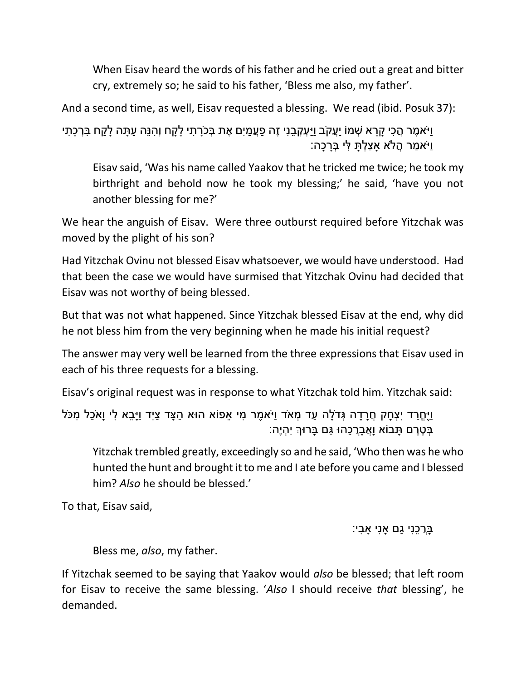When Eisav heard the words of his father and he cried out a great and bitter cry, extremely so; he said to his father, 'Bless me also, my father'.

And a second time, as well, Eisav requested a blessing. We read (ibid. Posuk 37):

וַיֹּאמֵר הֲכִי קָרָא שְׁמוֹ יַעֲקֹב וַיַּעְקְבֵנִי זֶה פַּעֲמַיִם אֶת בְּכֹרָתִי לָקָח וְהִנֵּה עַתָּה לָקַח בְּרכָתִי וַיֹא ַמר ֲהֹלא ָא ַצ ְל ָת ִלי ְבָר ָכה:

Eisav said, 'Was his name called Yaakov that he tricked me twice; he took my birthright and behold now he took my blessing;' he said, 'have you not another blessing for me?'

We hear the anguish of Eisav. Were three outburst required before Yitzchak was moved by the plight of his son?

Had Yitzchak Ovinu not blessed Eisav whatsoever, we would have understood. Had that been the case we would have surmised that Yitzchak Ovinu had decided that Eisav was not worthy of being blessed.

But that was not what happened. Since Yitzchak blessed Eisav at the end, why did he not bless him from the very beginning when he made his initial request?

The answer may very well be learned from the three expressions that Eisav used in each of his three requests for a blessing.

Eisav's original request was in response to what Yitzchak told him. Yitzchak said:

ּוַיֶּחֶרַד יִצְחָק חֲרָדָה גְּדֹלָה עַד מְאֹד וַיֹּאמֶר מִי אֵפוֹא הוּא הַצָּד צַיִד וַיָּבֵא לִי וָאֹכַל מִכֹּל ָבְטֶרֶם תָּבוֹא וָאֲבָרָכֶהוּ גַּם בָּרוּךְ יְהָיֵה:

Yitzchak trembled greatly, exceedingly so and he said, 'Who then was he who hunted the hunt and brought it to me and I ate before you came and I blessed him? *Also* he should be blessed.'

To that, Eisav said,

ַּבְרָכֶנִי גַם אַנִי אַבִי:

Bless me, *also*, my father.

If Yitzchak seemed to be saying that Yaakov would *also* be blessed; that left room for Eisav to receive the same blessing. '*Also* I should receive *that* blessing', he demanded.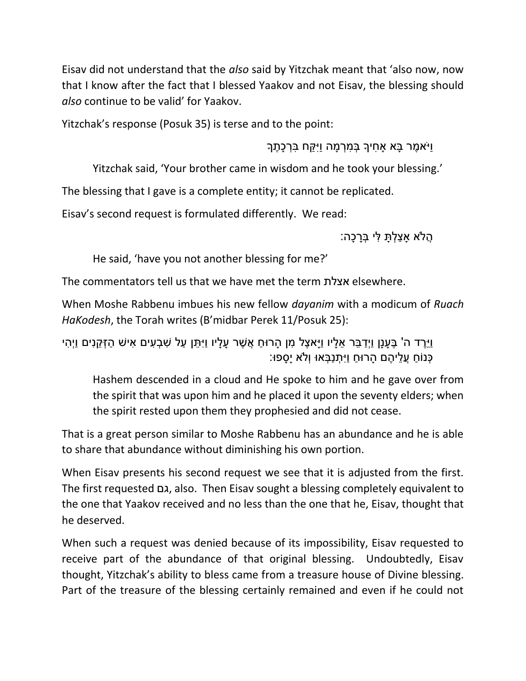Eisav did not understand that the *also* said by Yitzchak meant that 'also now, now that I know after the fact that I blessed Yaakov and not Eisav, the blessing should *also* continue to be valid' for Yaakov.

Yitzchak's response (Posuk 35) is terse and to the point:

וַיֹא ֶׁמר ָבא ָא ִחיָך ְב ִמ ְר ָמה וַיִ ַקח ִב ְר ָכ ֶׁתָך

Yitzchak said, 'Your brother came in wisdom and he took your blessing.'

The blessing that I gave is a complete entity; it cannot be replicated.

Eisav's second request is formulated differently. We read:

ָהֵלֹא אַצלְתַּ לִּי בְּרכָה:

He said, 'have you not another blessing for me?'

The commentators tell us that we have met the term אצלת elsewhere.

When Moshe Rabbenu imbues his new fellow *dayanim* with a modicum of *Ruach HaKodesh*, the Torah writes (B'midbar Perek 11/Posuk 25):

וַיֵּהֵד ה' בֵּעֲנַן וַיְדַבֵּר אֵלָיו וַיַּאצֶל מִן הָרוּחַ אֲשֶׁר עַלַיו וַיְּתֵּן עַל שְׁבָעִים אִישׁ הַזְקֵנִים וַיִהִי ָּכְּנֹוֹחַ עֲלֵיהֶם הַרוּחַ וַיִּתְנַבְּאוּ וְלֹא יַסַפּוּ:

Hashem descended in a cloud and He spoke to him and he gave over from the spirit that was upon him and he placed it upon the seventy elders; when the spirit rested upon them they prophesied and did not cease.

That is a great person similar to Moshe Rabbenu has an abundance and he is able to share that abundance without diminishing his own portion.

When Eisav presents his second request we see that it is adjusted from the first. The first requested גם, also. Then Eisav sought a blessing completely equivalent to the one that Yaakov received and no less than the one that he, Eisav, thought that he deserved.

When such a request was denied because of its impossibility, Eisav requested to receive part of the abundance of that original blessing. Undoubtedly, Eisav thought, Yitzchak's ability to bless came from a treasure house of Divine blessing. Part of the treasure of the blessing certainly remained and even if he could not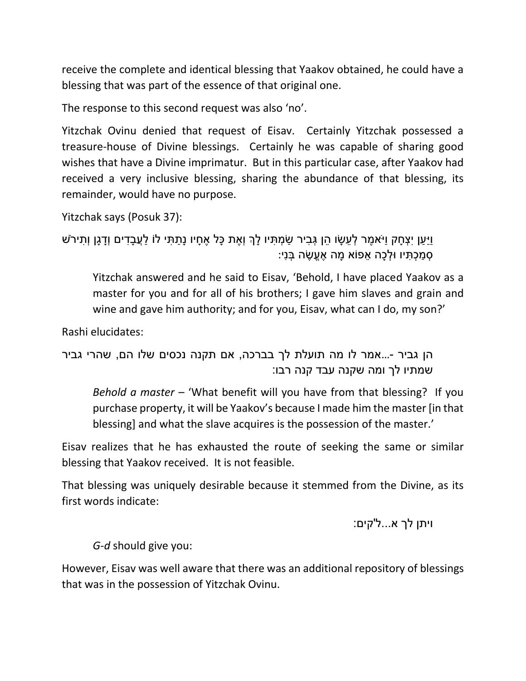receive the complete and identical blessing that Yaakov obtained, he could have a blessing that was part of the essence of that original one.

The response to this second request was also 'no'.

Yitzchak Ovinu denied that request of Eisav. Certainly Yitzchak possessed a treasure-house of Divine blessings. Certainly he was capable of sharing good wishes that have a Divine imprimatur. But in this particular case, after Yaakov had received a very inclusive blessing, sharing the abundance of that blessing, its remainder, would have no purpose.

```
Yitzchak says (Posuk 37):
```

```
וַיַ ַען יִ ְצ ָחק וַיֹא ֶׁמר ְל ֵׂע ָשו ֵׂהן ְג ִביר ַש ְמ ִתיו ָלְך וְ ֶׁאת ָכל ֶׁא ָחיו נָ ַת ִתי לֹו ַל ֲע ָב ִדים וְָד ָגן וְ ִתירֹש
                                                                           ָסְמַכְתִּיו וּלְכָה אֵפוֹא מַה אֶעֱשֶׂה בְּנִי:
```
Yitzchak answered and he said to Eisav, 'Behold, I have placed Yaakov as a master for you and for all of his brothers; I gave him slaves and grain and wine and gave him authority; and for you, Eisav, what can I do, my son?'

Rashi elucidates:

הן גביר -...אמר לו מה תועלת לך בברכה, אם תקנה נכסים שלו הם, שהרי גביר שמתיו לך ומה שקנה עבד קנה רבו:

*Behold a master* – 'What benefit will you have from that blessing? If you purchase property, it will be Yaakov's because I made him the master [in that blessing] and what the slave acquires is the possession of the master.'

Eisav realizes that he has exhausted the route of seeking the same or similar blessing that Yaakov received. It is not feasible.

That blessing was uniquely desirable because it stemmed from the Divine, as its first words indicate:

ויתן לך א...ל'קים:

*G-d* should give you:

However, Eisav was well aware that there was an additional repository of blessings that was in the possession of Yitzchak Ovinu.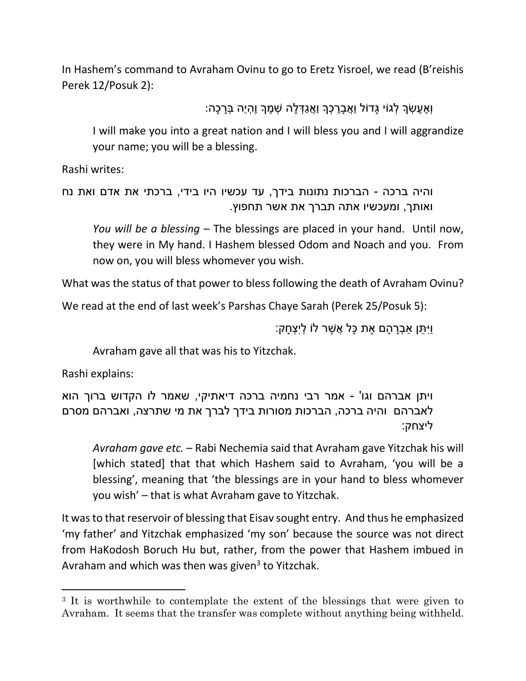In Hashem's command to Avraham Ovinu to go to Eretz Yisroel, we read (B'reishis Perek 12/Posuk 2):

וְ ֶׁא ֶׁע ְשָך ְלגֹוי ָגדֹול וֲַא ָבֶׁר ְכָך וֲַא ַג ְד ָלה ְש ֶׁמָך וֶׁ ְהיֵׂה ְבָר ָכה:

I will make you into a great nation and I will bless you and I will aggrandize your name; you will be a blessing.

Rashi writes:

והיה ברכה - הברכות נתונות בידך, עד עכשיו היו בידי, ברכתי את אדם ואת נח ואותך, ומעכשיו אתה תברך את אשר תחפוץ.

*You will be a blessing* – The blessings are placed in your hand. Until now, they were in My hand. I Hashem blessed Odom and Noach and you. From now on, you will bless whomever you wish.

What was the status of that power to bless following the death of Avraham Ovinu?

We read at the end of last week's Parshas Chaye Sarah (Perek 25/Posuk 5):

וַיִ ֵׂתן ַא ְבָר ָהם ֶׁאת ָכל ֲא ֶׁשר לֹו ְליִ ְצ ָחק:

Avraham gave all that was his to Yitzchak.

Rashi explains:

 $\overline{\phantom{a}}$ 

ויתן אברהם וגו' - אמר רבי נחמיה ברכה דיאתיקי, שאמר לו הקדוש ברוך הוא לאברהם והיה ברכה, הברכות מסורות בידך לברך את מי שתרצה, ואברהם מסרם ליצחק:

*Avraham gave etc.* – Rabi Nechemia said that Avraham gave Yitzchak his will [which stated] that that which Hashem said to Avraham, 'you will be a blessing', meaning that 'the blessings are in your hand to bless whomever you wish' – that is what Avraham gave to Yitzchak.

It was to that reservoir of blessing that Eisav sought entry. And thus he emphasized 'my father' and Yitzchak emphasized 'my son' because the source was not direct from HaKodosh Boruch Hu but, rather, from the power that Hashem imbued in Avraham and which was then was given<sup>3</sup> to Yitzchak.

<sup>&</sup>lt;sup>3</sup> It is worthwhile to contemplate the extent of the blessings that were given to Avraham. It seems that the transfer was complete without anything being withheld.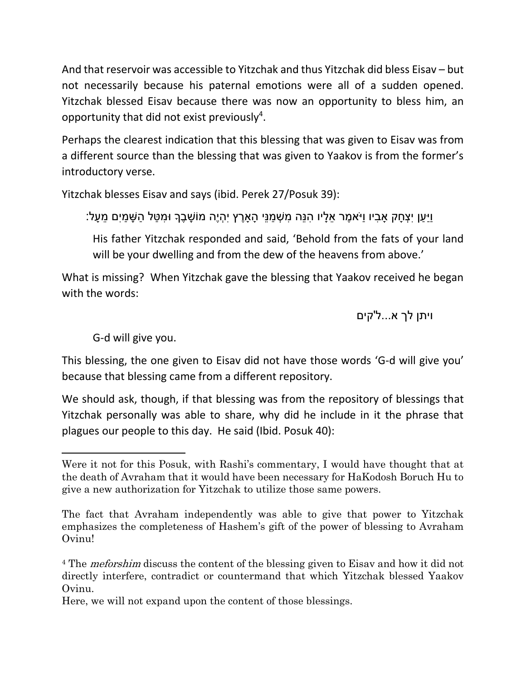And that reservoir was accessible to Yitzchak and thus Yitzchak did bless Eisav – but not necessarily because his paternal emotions were all of a sudden opened. Yitzchak blessed Eisav because there was now an opportunity to bless him, an opportunity that did not exist previously<sup>4</sup>.

Perhaps the clearest indication that this blessing that was given to Eisav was from a different source than the blessing that was given to Yaakov is from the former's introductory verse.

Yitzchak blesses Eisav and says (ibid. Perek 27/Posuk 39):

וַיַּעַן יִצְחַק אַבִיו וַיֹּאמֶר אֵלָיו הִנֵּה מִשְׁמַנֵּי הַארֵץ יִהְיֶה מוֹשַׁבֵרְ וּמְטַל הַשַּׁמַיִם מֵעַל:

His father Yitzchak responded and said, 'Behold from the fats of your land will be your dwelling and from the dew of the heavens from above.'

What is missing? When Yitzchak gave the blessing that Yaakov received he began with the words:

ויתן לך א...ל'קים

G-d will give you.

 $\overline{a}$ 

This blessing, the one given to Eisav did not have those words 'G-d will give you' because that blessing came from a different repository.

We should ask, though, if that blessing was from the repository of blessings that Yitzchak personally was able to share, why did he include in it the phrase that plagues our people to this day. He said (Ibid. Posuk 40):

Were it not for this Posuk, with Rashi's commentary, I would have thought that at the death of Avraham that it would have been necessary for HaKodosh Boruch Hu to give a new authorization for Yitzchak to utilize those same powers.

The fact that Avraham independently was able to give that power to Yitzchak emphasizes the completeness of Hashem's gift of the power of blessing to Avraham Ovinu!

<sup>&</sup>lt;sup>4</sup> The *meforshim* discuss the content of the blessing given to Eisav and how it did not directly interfere, contradict or countermand that which Yitzchak blessed Yaakov Ovinu.

Here, we will not expand upon the content of those blessings.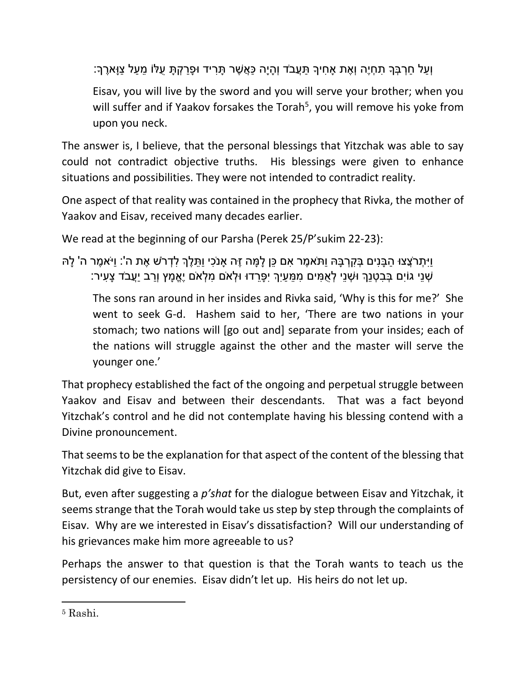וְעַל חַרְבְּךָ תְחָיֵה וְאֶת אַחִיךָ תַּעֲבֹד וְהָיָה כַּאֲשֶׁר תָּרִיד וּפָרַקְתָּ עָלּוֹ מֵעַל צַוָּארֵךְ:

Eisav, you will live by the sword and you will serve your brother; when you will suffer and if Yaakov forsakes the Torah<sup>5</sup>, you will remove his yoke from upon you neck.

The answer is, I believe, that the personal blessings that Yitzchak was able to say could not contradict objective truths. His blessings were given to enhance situations and possibilities. They were not intended to contradict reality.

One aspect of that reality was contained in the prophecy that Rivka, the mother of Yaakov and Eisav, received many decades earlier.

We read at the beginning of our Parsha (Perek 25/P'sukim 22-23):

```
ּוַיִּתְרֹצֵצוּ הַבָּנִים בְּקִרְבַּהּ וַתֹּאמֶר אָם כֶּן לַמֵּה זֶה אנֹכִי וַתְּלֶךְ לְדְרֹשׁ אֶת ה': וַיֹּאמֶר ה' לַהּ
         ֿשְׁנֵי גוֹיִם בְּבְטְנֵךְ וּשְׁנֵי לְאֻמִּים מְמֵּעַיִךְ יִפֶּרֵדוּ וּלְאֹם מִלְאֹם יֵאֱמָץ וְרַב יַעֲבֹד צָעִיר:
```
The sons ran around in her insides and Rivka said, 'Why is this for me?' She went to seek G-d. Hashem said to her, 'There are two nations in your stomach; two nations will [go out and] separate from your insides; each of the nations will struggle against the other and the master will serve the younger one.'

That prophecy established the fact of the ongoing and perpetual struggle between Yaakov and Eisav and between their descendants. That was a fact beyond Yitzchak's control and he did not contemplate having his blessing contend with a Divine pronouncement.

That seems to be the explanation for that aspect of the content of the blessing that Yitzchak did give to Eisav.

But, even after suggesting a *p'shat* for the dialogue between Eisav and Yitzchak, it seems strange that the Torah would take us step by step through the complaints of Eisav. Why are we interested in Eisav's dissatisfaction? Will our understanding of his grievances make him more agreeable to us?

Perhaps the answer to that question is that the Torah wants to teach us the persistency of our enemies. Eisav didn't let up. His heirs do not let up.

 $\overline{\phantom{a}}$ 

<sup>5</sup> Rashi.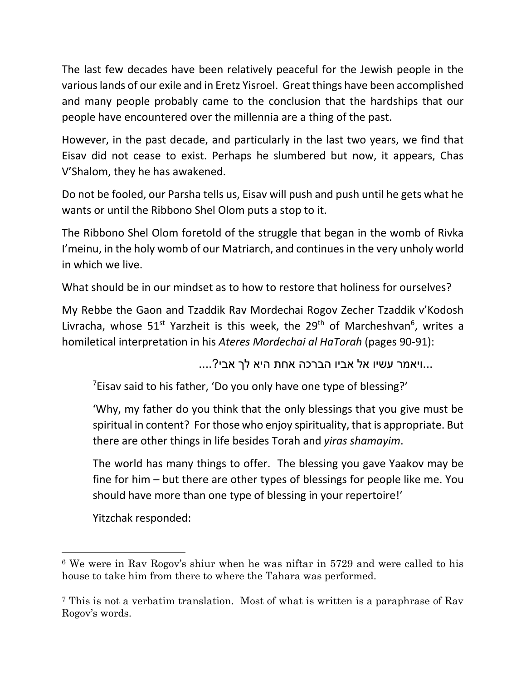The last few decades have been relatively peaceful for the Jewish people in the various lands of our exile and in Eretz Yisroel. Great things have been accomplished and many people probably came to the conclusion that the hardships that our people have encountered over the millennia are a thing of the past.

However, in the past decade, and particularly in the last two years, we find that Eisav did not cease to exist. Perhaps he slumbered but now, it appears, Chas V'Shalom, they he has awakened.

Do not be fooled, our Parsha tells us, Eisav will push and push until he gets what he wants or until the Ribbono Shel Olom puts a stop to it.

The Ribbono Shel Olom foretold of the struggle that began in the womb of Rivka I'meinu, in the holy womb of our Matriarch, and continues in the very unholy world in which we live.

What should be in our mindset as to how to restore that holiness for ourselves?

My Rebbe the Gaon and Tzaddik Rav Mordechai Rogov Zecher Tzaddik v'Kodosh Livracha, whose  $51^{st}$  Yarzheit is this week, the 29<sup>th</sup> of Marcheshvan<sup>6</sup>, writes a homiletical interpretation in his *Ateres Mordechai al HaTorah* (pages 90-91):

...ויאמר עשיו אל אביו הברכה אחת היא לך אבי?....

<sup>7</sup>Eisav said to his father, 'Do you only have one type of blessing?'

'Why, my father do you think that the only blessings that you give must be spiritual in content? For those who enjoy spirituality, that is appropriate. But there are other things in life besides Torah and *yiras shamayim*.

The world has many things to offer. The blessing you gave Yaakov may be fine for him – but there are other types of blessings for people like me. You should have more than one type of blessing in your repertoire!'

Yitzchak responded:

 $\overline{\phantom{a}}$ 

<sup>6</sup> We were in Rav Rogov's shiur when he was niftar in 5729 and were called to his house to take him from there to where the Tahara was performed.

<sup>7</sup> This is not a verbatim translation. Most of what is written is a paraphrase of Rav Rogov's words.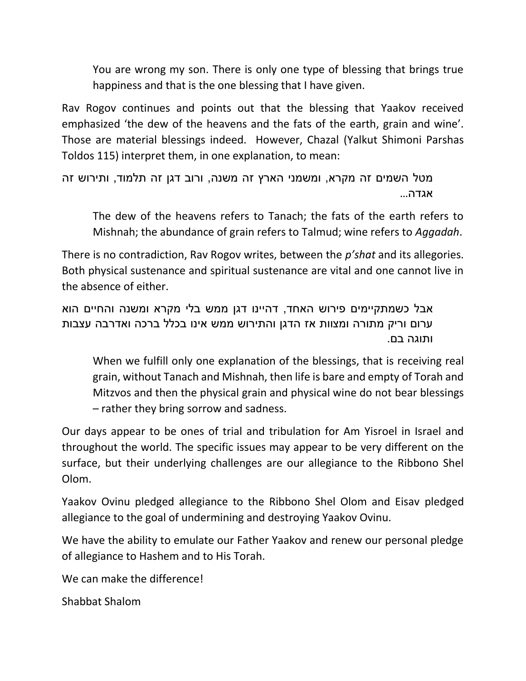You are wrong my son. There is only one type of blessing that brings true happiness and that is the one blessing that I have given.

Rav Rogov continues and points out that the blessing that Yaakov received emphasized 'the dew of the heavens and the fats of the earth, grain and wine'. Those are material blessings indeed. However, Chazal (Yalkut Shimoni Parshas Toldos 115) interpret them, in one explanation, to mean:

מטל השמים זה מקרא, ומשמני הארץ זה משנה, ורוב דגן זה תלמוד, ותירוש זה אגדה...

The dew of the heavens refers to Tanach; the fats of the earth refers to Mishnah; the abundance of grain refers to Talmud; wine refers to *Aggadah*.

There is no contradiction, Rav Rogov writes, between the *p'shat* and its allegories. Both physical sustenance and spiritual sustenance are vital and one cannot live in the absence of either.

אבל כשמתקיימים פירוש האחד, דהיינו דגן ממש בלי מקרא ומשנה והחיים הוא ערום וריק מתורה ומצוות אז הדגן והתירוש ממש אינו בכלל ברכה ואדרבה עצבות ותוגה בם.

When we fulfill only one explanation of the blessings, that is receiving real grain, without Tanach and Mishnah, then life is bare and empty of Torah and Mitzvos and then the physical grain and physical wine do not bear blessings – rather they bring sorrow and sadness.

Our days appear to be ones of trial and tribulation for Am Yisroel in Israel and throughout the world. The specific issues may appear to be very different on the surface, but their underlying challenges are our allegiance to the Ribbono Shel Olom.

Yaakov Ovinu pledged allegiance to the Ribbono Shel Olom and Eisav pledged allegiance to the goal of undermining and destroying Yaakov Ovinu.

We have the ability to emulate our Father Yaakov and renew our personal pledge of allegiance to Hashem and to His Torah.

We can make the difference!

Shabbat Shalom